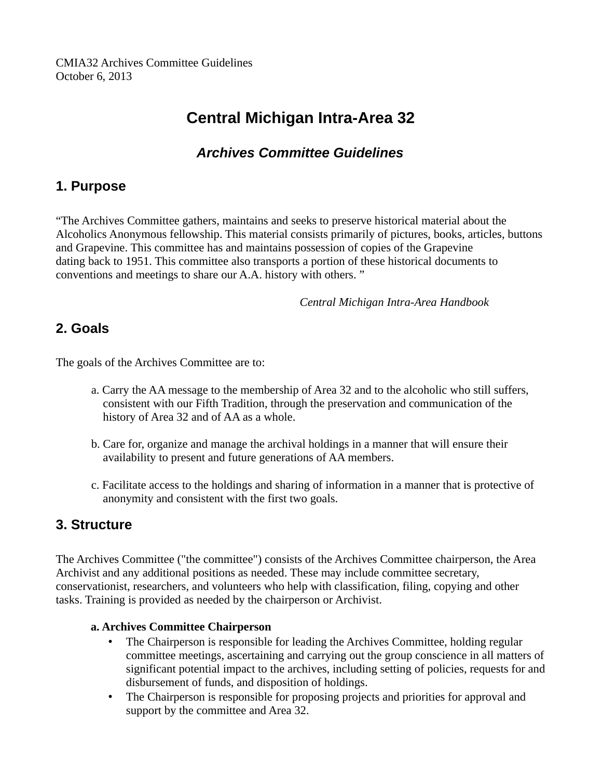# **Central Michigan Intra-Area 32**

## *Archives Committee Guidelines*

### **1. Purpose**

"The Archives Committee gathers, maintains and seeks to preserve historical material about the Alcoholics Anonymous fellowship. This material consists primarily of pictures, books, articles, buttons and Grapevine. This committee has and maintains possession of copies of the Grapevine dating back to 1951. This committee also transports a portion of these historical documents to conventions and meetings to share our A.A. history with others. "

*Central Michigan Intra-Area Handbook*

## **2. Goals**

The goals of the Archives Committee are to:

- a. Carry the AA message to the membership of Area 32 and to the alcoholic who still suffers, consistent with our Fifth Tradition, through the preservation and communication of the history of Area 32 and of AA as a whole.
- b. Care for, organize and manage the archival holdings in a manner that will ensure their availability to present and future generations of AA members.
- c. Facilitate access to the holdings and sharing of information in a manner that is protective of anonymity and consistent with the first two goals.

### **3. Structure**

The Archives Committee ("the committee") consists of the Archives Committee chairperson, the Area Archivist and any additional positions as needed. These may include committee secretary, conservationist, researchers, and volunteers who help with classification, filing, copying and other tasks. Training is provided as needed by the chairperson or Archivist.

#### **a. Archives Committee Chairperson**

- The Chairperson is responsible for leading the Archives Committee, holding regular committee meetings, ascertaining and carrying out the group conscience in all matters of significant potential impact to the archives, including setting of policies, requests for and disbursement of funds, and disposition of holdings.
- The Chairperson is responsible for proposing projects and priorities for approval and support by the committee and Area 32.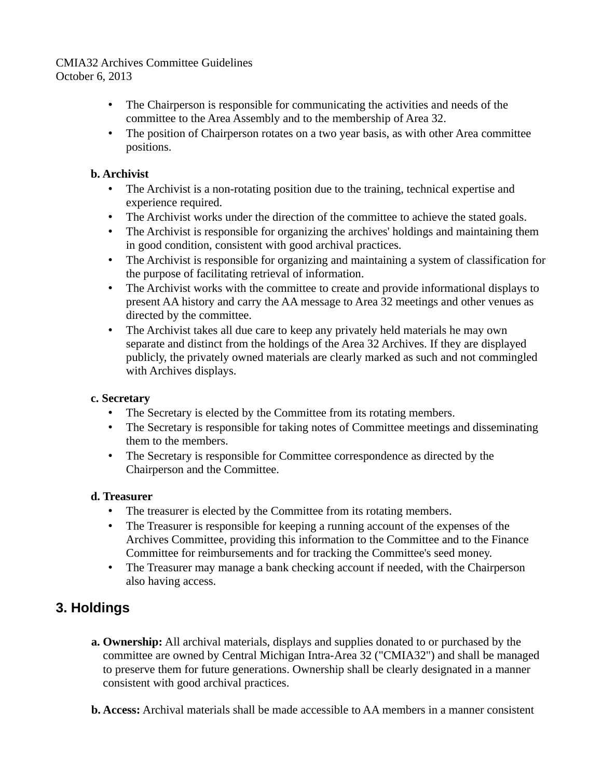- The Chairperson is responsible for communicating the activities and needs of the committee to the Area Assembly and to the membership of Area 32.
- The position of Chairperson rotates on a two year basis, as with other Area committee positions.

#### **b. Archivist**

- The Archivist is a non-rotating position due to the training, technical expertise and experience required.
- The Archivist works under the direction of the committee to achieve the stated goals.
- The Archivist is responsible for organizing the archives' holdings and maintaining them in good condition, consistent with good archival practices.
- The Archivist is responsible for organizing and maintaining a system of classification for the purpose of facilitating retrieval of information.
- The Archivist works with the committee to create and provide informational displays to present AA history and carry the AA message to Area 32 meetings and other venues as directed by the committee.
- The Archivist takes all due care to keep any privately held materials he may own separate and distinct from the holdings of the Area 32 Archives. If they are displayed publicly, the privately owned materials are clearly marked as such and not commingled with Archives displays.

#### **c. Secretary**

- The Secretary is elected by the Committee from its rotating members.
- The Secretary is responsible for taking notes of Committee meetings and disseminating them to the members.
- The Secretary is responsible for Committee correspondence as directed by the Chairperson and the Committee.

### **d. Treasurer**

- The treasurer is elected by the Committee from its rotating members.
- The Treasurer is responsible for keeping a running account of the expenses of the Archives Committee, providing this information to the Committee and to the Finance Committee for reimbursements and for tracking the Committee's seed money.
- The Treasurer may manage a bank checking account if needed, with the Chairperson also having access.

## **3. Holdings**

- **a. Ownership:** All archival materials, displays and supplies donated to or purchased by the committee are owned by Central Michigan Intra-Area 32 ("CMIA32") and shall be managed to preserve them for future generations. Ownership shall be clearly designated in a manner consistent with good archival practices.
- **b. Access:** Archival materials shall be made accessible to AA members in a manner consistent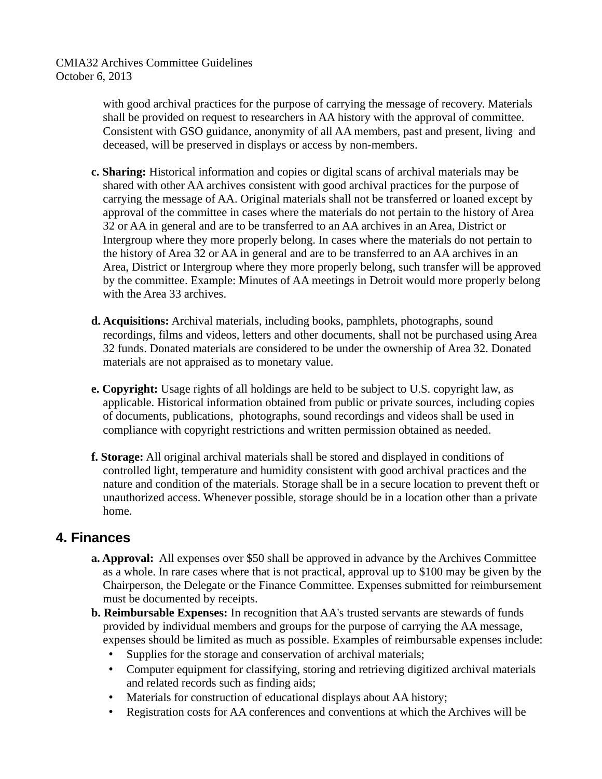> with good archival practices for the purpose of carrying the message of recovery. Materials shall be provided on request to researchers in AA history with the approval of committee. Consistent with GSO guidance, anonymity of all AA members, past and present, living and deceased, will be preserved in displays or access by non-members.

- **c. Sharing:** Historical information and copies or digital scans of archival materials may be shared with other AA archives consistent with good archival practices for the purpose of carrying the message of AA. Original materials shall not be transferred or loaned except by approval of the committee in cases where the materials do not pertain to the history of Area 32 or AA in general and are to be transferred to an AA archives in an Area, District or Intergroup where they more properly belong. In cases where the materials do not pertain to the history of Area 32 or AA in general and are to be transferred to an AA archives in an Area, District or Intergroup where they more properly belong, such transfer will be approved by the committee. Example: Minutes of AA meetings in Detroit would more properly belong with the Area 33 archives.
- **d. Acquisitions:** Archival materials, including books, pamphlets, photographs, sound recordings, films and videos, letters and other documents, shall not be purchased using Area 32 funds. Donated materials are considered to be under the ownership of Area 32. Donated materials are not appraised as to monetary value.
- **e. Copyright:** Usage rights of all holdings are held to be subject to U.S. copyright law, as applicable. Historical information obtained from public or private sources, including copies of documents, publications, photographs, sound recordings and videos shall be used in compliance with copyright restrictions and written permission obtained as needed.
- **f. Storage:** All original archival materials shall be stored and displayed in conditions of controlled light, temperature and humidity consistent with good archival practices and the nature and condition of the materials. Storage shall be in a secure location to prevent theft or unauthorized access. Whenever possible, storage should be in a location other than a private home.

### **4. Finances**

- **a. Approval:** All expenses over \$50 shall be approved in advance by the Archives Committee as a whole. In rare cases where that is not practical, approval up to \$100 may be given by the Chairperson, the Delegate or the Finance Committee. Expenses submitted for reimbursement must be documented by receipts.
- **b. Reimbursable Expenses:** In recognition that AA's trusted servants are stewards of funds provided by individual members and groups for the purpose of carrying the AA message, expenses should be limited as much as possible. Examples of reimbursable expenses include:
	- Supplies for the storage and conservation of archival materials;
	- Computer equipment for classifying, storing and retrieving digitized archival materials and related records such as finding aids;
	- Materials for construction of educational displays about AA history;
	- Registration costs for AA conferences and conventions at which the Archives will be